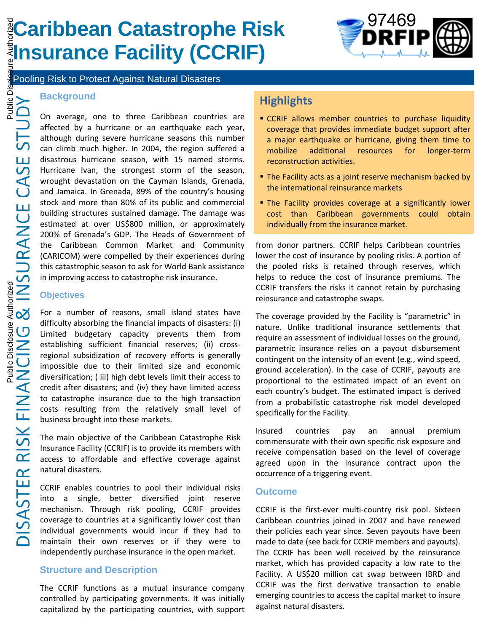# **Caribbean Catastrophe Risk Insurance Facility (CCRIF)**



Pooling Risk to Protect Against Natural Disasters

#### **Background**

On average, one to three Caribbean countries are affected by a hurricane or an earthquake each year, although during severe hurricane seasons this number can climb much higher. In 2004, the region suffered a disastrous hurricane season, with 15 named storms. Hurricane Ivan, the strongest storm of the season, wrought devastation on the Cayman Islands, Grenada, and Jamaica. In Grenada, 89% of the country's housing stock and more than 80% of its public and commercial building structures sustained damage. The damage was estimated at over US\$800 million, or approximately 200% of Grenada's GDP. The Heads of Government of the Caribbean Common Market and Community (CARICOM) were compelled by their experiences during this catastrophic season to ask for World Bank assistance in improving access to catastrophe risk insurance.

#### **Objectives**

For a number of reasons, small island states have difficulty absorbing the financial impacts of disasters: (i) Limited budgetary capacity prevents them from establishing sufficient financial reserves; (ii) crossregional subsidization of recovery efforts is generally impossible due to their limited size and economic diversification; ( iii) high debt levels limit their access to credit after disasters; and (iv) they have limited access to catastrophe insurance due to the high transaction costs resulting from the relatively small level of business brought into these markets.

The main objective of the Caribbean Catastrophe Risk Insurance Facility (CCRIF) is to provide its members with access to affordable and effective coverage against natural disasters.

CCRIF enables countries to pool their individual risks into a single, better diversified joint reserve mechanism. Through risk pooling, CCRIF provides coverage to countries at a significantly lower cost than individual governments would incur if they had to maintain their own reserves or if they were to independently purchase insurance in the open market.

#### **Structure and Description**

The CCRIF functions as a mutual insurance company controlled by participating governments. It was initially capitalized by the participating countries, with support

## **Highlights**

- CCRIF allows member countries to purchase liquidity coverage that provides immediate budget support after a major earthquake or hurricane, giving them time to mobilize additional resources for longer-term reconstruction activities.
- **The Facility acts as a joint reserve mechanism backed by** the international reinsurance markets
- The Facility provides coverage at a significantly lower cost than Caribbean governments could obtain individually from the insurance market.

from donor partners. CCRIF helps Caribbean countries lower the cost of insurance by pooling risks. A portion of the pooled risks is retained through reserves, which helps to reduce the cost of insurance premiums. The CCRIF transfers the risks it cannot retain by purchasing reinsurance and catastrophe swaps.

The coverage provided by the Facility is "parametric" in nature. Unlike traditional insurance settlements that require an assessment of individual losses on the ground, parametric insurance relies on a payout disbursement contingent on the intensity of an event (e.g., wind speed, ground acceleration). In the case of CCRIF, payouts are proportional to the estimated impact of an event on each country's budget. The estimated impact is derived from a probabilistic catastrophe risk model developed specifically for the Facility.

Insured countries pay an annual premium commensurate with their own specific risk exposure and receive compensation based on the level of coverage agreed upon in the insurance contract upon the occurrence of a triggering event.

#### **Outcome**

CCRIF is the first-ever multi-country risk pool. Sixteen Caribbean countries joined in 2007 and have renewed their policies each year since. Seven payouts have been made to date (see back for CCRIF members and payouts). The CCRIF has been well received by the reinsurance market, which has provided capacity a low rate to the Facility. A US\$20 million cat swap between IBRD and CCRIF was the first derivative transaction to enable emerging countries to access the capital market to insure against natural disasters.